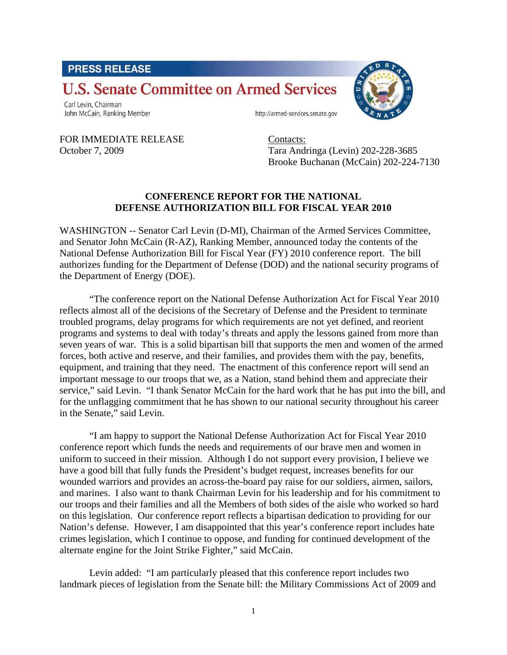# **PRESS RELEASE**

# **U.S. Senate Committee on Armed Services**

Carl Levin, Chairman John McCain, Ranking Member

http://armed-services.senate.gov

FOR IMMEDIATE RELEASE Contacts:

October 7, 2009 Tara Andringa (Levin) 202-228-3685 Brooke Buchanan (McCain) 202-224-7130

#### **CONFERENCE REPORT FOR THE NATIONAL DEFENSE AUTHORIZATION BILL FOR FISCAL YEAR 2010**

WASHINGTON -- Senator Carl Levin (D-MI), Chairman of the Armed Services Committee, and Senator John McCain (R-AZ), Ranking Member, announced today the contents of the National Defense Authorization Bill for Fiscal Year (FY) 2010 conference report. The bill authorizes funding for the Department of Defense (DOD) and the national security programs of the Department of Energy (DOE).

"The conference report on the National Defense Authorization Act for Fiscal Year 2010 reflects almost all of the decisions of the Secretary of Defense and the President to terminate troubled programs, delay programs for which requirements are not yet defined, and reorient programs and systems to deal with today's threats and apply the lessons gained from more than seven years of war. This is a solid bipartisan bill that supports the men and women of the armed forces, both active and reserve, and their families, and provides them with the pay, benefits, equipment, and training that they need. The enactment of this conference report will send an important message to our troops that we, as a Nation, stand behind them and appreciate their service," said Levin. "I thank Senator McCain for the hard work that he has put into the bill, and for the unflagging commitment that he has shown to our national security throughout his career in the Senate," said Levin.

"I am happy to support the National Defense Authorization Act for Fiscal Year 2010 conference report which funds the needs and requirements of our brave men and women in uniform to succeed in their mission. Although I do not support every provision, I believe we have a good bill that fully funds the President's budget request, increases benefits for our wounded warriors and provides an across-the-board pay raise for our soldiers, airmen, sailors, and marines. I also want to thank Chairman Levin for his leadership and for his commitment to our troops and their families and all the Members of both sides of the aisle who worked so hard on this legislation. Our conference report reflects a bipartisan dedication to providing for our Nation's defense. However, I am disappointed that this year's conference report includes hate crimes legislation, which I continue to oppose, and funding for continued development of the alternate engine for the Joint Strike Fighter," said McCain.

Levin added: "I am particularly pleased that this conference report includes two landmark pieces of legislation from the Senate bill: the Military Commissions Act of 2009 and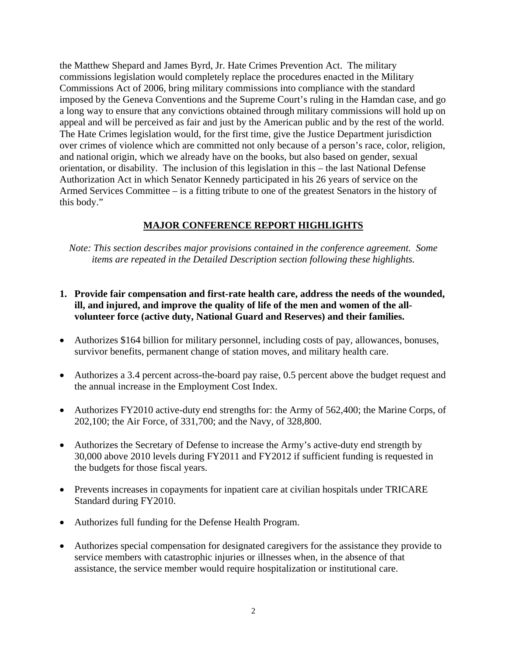the Matthew Shepard and James Byrd, Jr. Hate Crimes Prevention Act. The military commissions legislation would completely replace the procedures enacted in the Military Commissions Act of 2006, bring military commissions into compliance with the standard imposed by the Geneva Conventions and the Supreme Court's ruling in the Hamdan case, and go a long way to ensure that any convictions obtained through military commissions will hold up on appeal and will be perceived as fair and just by the American public and by the rest of the world. The Hate Crimes legislation would, for the first time, give the Justice Department jurisdiction over crimes of violence which are committed not only because of a person's race, color, religion, and national origin, which we already have on the books, but also based on gender, sexual orientation, or disability. The inclusion of this legislation in this – the last National Defense Authorization Act in which Senator Kennedy participated in his 26 years of service on the Armed Services Committee – is a fitting tribute to one of the greatest Senators in the history of this body."

## **MAJOR CONFERENCE REPORT HIGHLIGHTS**

*Note: This section describes major provisions contained in the conference agreement. Some items are repeated in the Detailed Description section following these highlights.* 

- **1. Provide fair compensation and first-rate health care, address the needs of the wounded, ill, and injured, and improve the quality of life of the men and women of the allvolunteer force (active duty, National Guard and Reserves) and their families.**
- Authorizes \$164 billion for military personnel, including costs of pay, allowances, bonuses, survivor benefits, permanent change of station moves, and military health care.
- Authorizes a 3.4 percent across-the-board pay raise, 0.5 percent above the budget request and the annual increase in the Employment Cost Index.
- Authorizes FY2010 active-duty end strengths for: the Army of 562,400; the Marine Corps, of 202,100; the Air Force, of 331,700; and the Navy, of 328,800.
- Authorizes the Secretary of Defense to increase the Army's active-duty end strength by 30,000 above 2010 levels during FY2011 and FY2012 if sufficient funding is requested in the budgets for those fiscal years.
- Prevents increases in copayments for inpatient care at civilian hospitals under TRICARE Standard during FY2010.
- Authorizes full funding for the Defense Health Program.
- Authorizes special compensation for designated caregivers for the assistance they provide to service members with catastrophic injuries or illnesses when, in the absence of that assistance, the service member would require hospitalization or institutional care.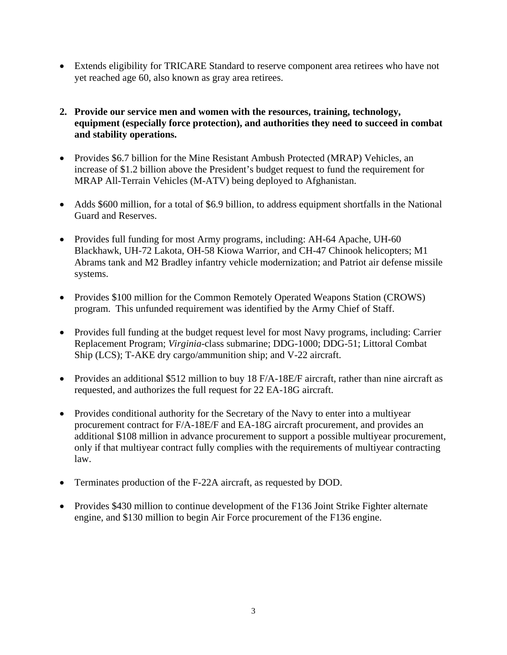- Extends eligibility for TRICARE Standard to reserve component area retirees who have not yet reached age 60, also known as gray area retirees.
- **2. Provide our service men and women with the resources, training, technology, equipment (especially force protection), and authorities they need to succeed in combat and stability operations.**
- Provides \$6.7 billion for the Mine Resistant Ambush Protected (MRAP) Vehicles, an increase of \$1.2 billion above the President's budget request to fund the requirement for MRAP All-Terrain Vehicles (M-ATV) being deployed to Afghanistan.
- Adds \$600 million, for a total of \$6.9 billion, to address equipment shortfalls in the National Guard and Reserves.
- Provides full funding for most Army programs, including: AH-64 Apache, UH-60 Blackhawk, UH-72 Lakota, OH-58 Kiowa Warrior, and CH-47 Chinook helicopters; M1 Abrams tank and M2 Bradley infantry vehicle modernization; and Patriot air defense missile systems.
- Provides \$100 million for the Common Remotely Operated Weapons Station (CROWS) program. This unfunded requirement was identified by the Army Chief of Staff.
- Provides full funding at the budget request level for most Navy programs, including: Carrier Replacement Program; *Virginia*-class submarine; DDG-1000; DDG-51; Littoral Combat Ship (LCS); T-AKE dry cargo/ammunition ship; and V-22 aircraft.
- Provides an additional \$512 million to buy 18 F/A-18E/F aircraft, rather than nine aircraft as requested, and authorizes the full request for 22 EA-18G aircraft.
- Provides conditional authority for the Secretary of the Navy to enter into a multiyear procurement contract for F/A-18E/F and EA-18G aircraft procurement, and provides an additional \$108 million in advance procurement to support a possible multiyear procurement, only if that multiyear contract fully complies with the requirements of multiyear contracting law.
- Terminates production of the F-22A aircraft, as requested by DOD.
- Provides \$430 million to continue development of the F136 Joint Strike Fighter alternate engine, and \$130 million to begin Air Force procurement of the F136 engine.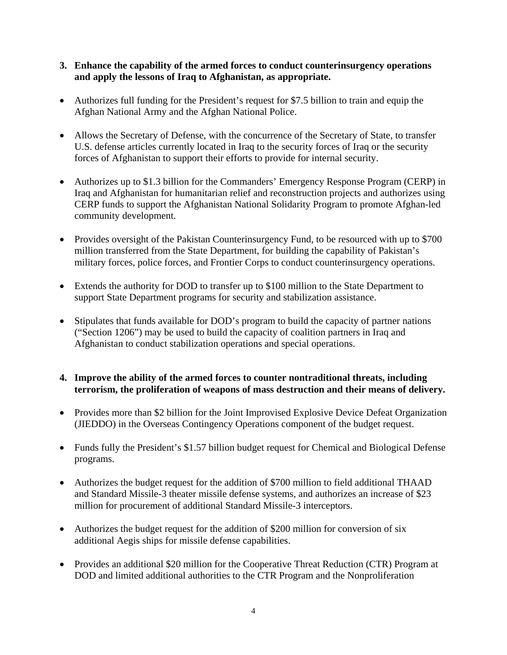- **3. Enhance the capability of the armed forces to conduct counterinsurgency operations and apply the lessons of Iraq to Afghanistan, as appropriate.**
- Authorizes full funding for the President's request for \$7.5 billion to train and equip the Afghan National Army and the Afghan National Police.
- Allows the Secretary of Defense, with the concurrence of the Secretary of State, to transfer U.S. defense articles currently located in Iraq to the security forces of Iraq or the security forces of Afghanistan to support their efforts to provide for internal security.
- Authorizes up to \$1.3 billion for the Commanders' Emergency Response Program (CERP) in Iraq and Afghanistan for humanitarian relief and reconstruction projects and authorizes using CERP funds to support the Afghanistan National Solidarity Program to promote Afghan-led community development.
- Provides oversight of the Pakistan Counterinsurgency Fund, to be resourced with up to \$700 million transferred from the State Department, for building the capability of Pakistan's military forces, police forces, and Frontier Corps to conduct counterinsurgency operations.
- Extends the authority for DOD to transfer up to \$100 million to the State Department to support State Department programs for security and stabilization assistance.
- Stipulates that funds available for DOD's program to build the capacity of partner nations ("Section 1206") may be used to build the capacity of coalition partners in Iraq and Afghanistan to conduct stabilization operations and special operations.

## **4. Improve the ability of the armed forces to counter nontraditional threats, including terrorism, the proliferation of weapons of mass destruction and their means of delivery.**

- Provides more than \$2 billion for the Joint Improvised Explosive Device Defeat Organization (JIEDDO) in the Overseas Contingency Operations component of the budget request.
- Funds fully the President's \$1.57 billion budget request for Chemical and Biological Defense programs.
- Authorizes the budget request for the addition of \$700 million to field additional THAAD and Standard Missile-3 theater missile defense systems, and authorizes an increase of \$23 million for procurement of additional Standard Missile-3 interceptors.
- Authorizes the budget request for the addition of \$200 million for conversion of six additional Aegis ships for missile defense capabilities.
- Provides an additional \$20 million for the Cooperative Threat Reduction (CTR) Program at DOD and limited additional authorities to the CTR Program and the Nonproliferation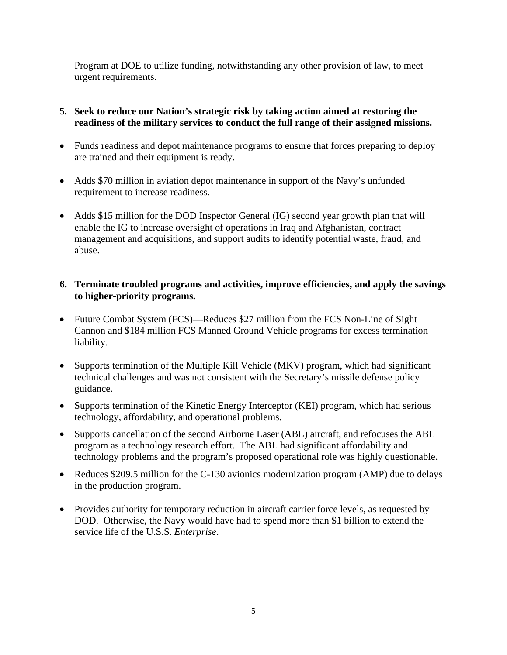Program at DOE to utilize funding, notwithstanding any other provision of law, to meet urgent requirements.

## **5. Seek to reduce our Nation's strategic risk by taking action aimed at restoring the readiness of the military services to conduct the full range of their assigned missions.**

- Funds readiness and depot maintenance programs to ensure that forces preparing to deploy are trained and their equipment is ready.
- Adds \$70 million in aviation depot maintenance in support of the Navy's unfunded requirement to increase readiness.
- Adds \$15 million for the DOD Inspector General (IG) second year growth plan that will enable the IG to increase oversight of operations in Iraq and Afghanistan, contract management and acquisitions, and support audits to identify potential waste, fraud, and abuse.

## **6. Terminate troubled programs and activities, improve efficiencies, and apply the savings to higher-priority programs.**

- Future Combat System (FCS)—Reduces \$27 million from the FCS Non-Line of Sight Cannon and \$184 million FCS Manned Ground Vehicle programs for excess termination liability.
- Supports termination of the Multiple Kill Vehicle (MKV) program, which had significant technical challenges and was not consistent with the Secretary's missile defense policy guidance.
- Supports termination of the Kinetic Energy Interceptor (KEI) program, which had serious technology, affordability, and operational problems.
- Supports cancellation of the second Airborne Laser (ABL) aircraft, and refocuses the ABL program as a technology research effort. The ABL had significant affordability and technology problems and the program's proposed operational role was highly questionable.
- Reduces \$209.5 million for the C-130 avionics modernization program (AMP) due to delays in the production program.
- Provides authority for temporary reduction in aircraft carrier force levels, as requested by DOD. Otherwise, the Navy would have had to spend more than \$1 billion to extend the service life of the U.S.S. *Enterprise*.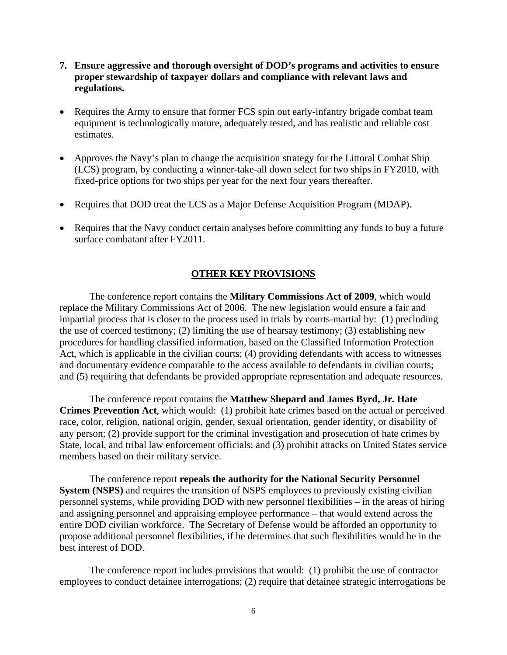- **7. Ensure aggressive and thorough oversight of DOD's programs and activities to ensure proper stewardship of taxpayer dollars and compliance with relevant laws and regulations.**
- Requires the Army to ensure that former FCS spin out early-infantry brigade combat team equipment is technologically mature, adequately tested, and has realistic and reliable cost estimates.
- Approves the Navy's plan to change the acquisition strategy for the Littoral Combat Ship (LCS) program, by conducting a winner-take-all down select for two ships in FY2010, with fixed-price options for two ships per year for the next four years thereafter.
- Requires that DOD treat the LCS as a Major Defense Acquisition Program (MDAP).
- Requires that the Navy conduct certain analyses before committing any funds to buy a future surface combatant after FY2011.

#### **OTHER KEY PROVISIONS**

The conference report contains the **Military Commissions Act of 2009**, which would replace the Military Commissions Act of 2006. The new legislation would ensure a fair and impartial process that is closer to the process used in trials by courts-martial by: (1) precluding the use of coerced testimony; (2) limiting the use of hearsay testimony; (3) establishing new procedures for handling classified information, based on the Classified Information Protection Act, which is applicable in the civilian courts; (4) providing defendants with access to witnesses and documentary evidence comparable to the access available to defendants in civilian courts; and (5) requiring that defendants be provided appropriate representation and adequate resources.

The conference report contains the **Matthew Shepard and James Byrd, Jr. Hate Crimes Prevention Act**, which would: (1) prohibit hate crimes based on the actual or perceived race, color, religion, national origin, gender, sexual orientation, gender identity, or disability of any person; (2) provide support for the criminal investigation and prosecution of hate crimes by State, local, and tribal law enforcement officials; and (3) prohibit attacks on United States service members based on their military service.

The conference report **repeals the authority for the National Security Personnel System (NSPS)** and requires the transition of NSPS employees to previously existing civilian personnel systems, while providing DOD with new personnel flexibilities – in the areas of hiring and assigning personnel and appraising employee performance – that would extend across the entire DOD civilian workforce. The Secretary of Defense would be afforded an opportunity to propose additional personnel flexibilities, if he determines that such flexibilities would be in the best interest of DOD.

The conference report includes provisions that would: (1) prohibit the use of contractor employees to conduct detainee interrogations; (2) require that detainee strategic interrogations be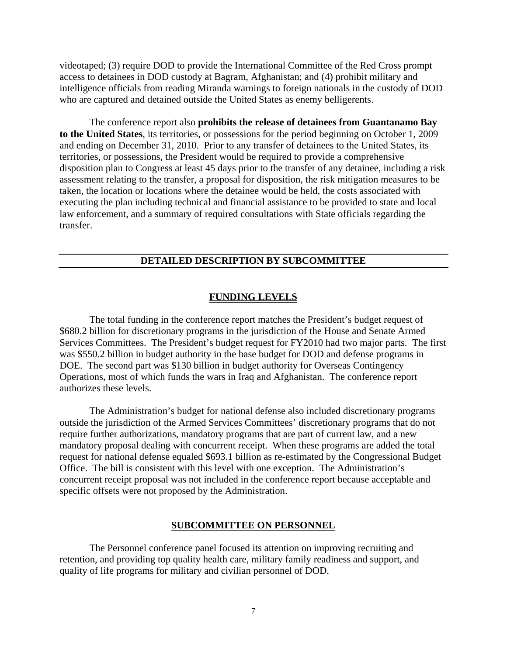videotaped; (3) require DOD to provide the International Committee of the Red Cross prompt access to detainees in DOD custody at Bagram, Afghanistan; and (4) prohibit military and intelligence officials from reading Miranda warnings to foreign nationals in the custody of DOD who are captured and detained outside the United States as enemy belligerents.

The conference report also **prohibits the release of detainees from Guantanamo Bay to the United States**, its territories, or possessions for the period beginning on October 1, 2009 and ending on December 31, 2010. Prior to any transfer of detainees to the United States, its territories, or possessions, the President would be required to provide a comprehensive disposition plan to Congress at least 45 days prior to the transfer of any detainee, including a risk assessment relating to the transfer, a proposal for disposition, the risk mitigation measures to be taken, the location or locations where the detainee would be held, the costs associated with executing the plan including technical and financial assistance to be provided to state and local law enforcement, and a summary of required consultations with State officials regarding the transfer.

#### **DETAILED DESCRIPTION BY SUBCOMMITTEE**

#### **FUNDING LEVELS**

 The total funding in the conference report matches the President's budget request of \$680.2 billion for discretionary programs in the jurisdiction of the House and Senate Armed Services Committees. The President's budget request for FY2010 had two major parts. The first was \$550.2 billion in budget authority in the base budget for DOD and defense programs in DOE. The second part was \$130 billion in budget authority for Overseas Contingency Operations, most of which funds the wars in Iraq and Afghanistan. The conference report authorizes these levels.

The Administration's budget for national defense also included discretionary programs outside the jurisdiction of the Armed Services Committees' discretionary programs that do not require further authorizations, mandatory programs that are part of current law, and a new mandatory proposal dealing with concurrent receipt. When these programs are added the total request for national defense equaled \$693.1 billion as re-estimated by the Congressional Budget Office. The bill is consistent with this level with one exception. The Administration's concurrent receipt proposal was not included in the conference report because acceptable and specific offsets were not proposed by the Administration.

#### **SUBCOMMITTEE ON PERSONNEL**

The Personnel conference panel focused its attention on improving recruiting and retention, and providing top quality health care, military family readiness and support, and quality of life programs for military and civilian personnel of DOD.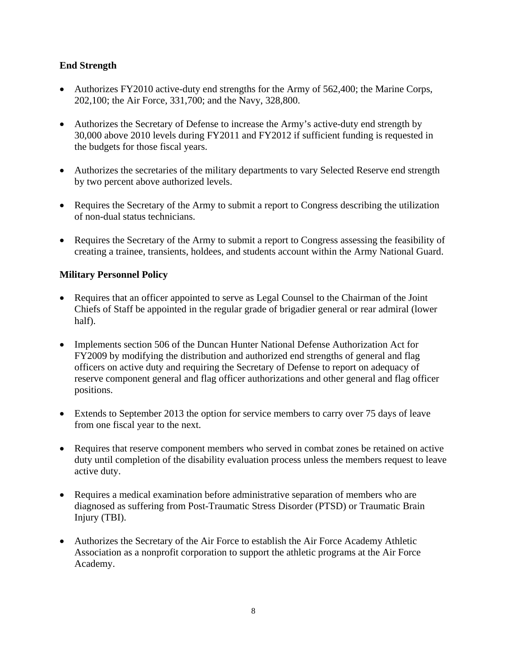## **End Strength**

- Authorizes FY2010 active-duty end strengths for the Army of 562,400; the Marine Corps, 202,100; the Air Force, 331,700; and the Navy, 328,800.
- Authorizes the Secretary of Defense to increase the Army's active-duty end strength by 30,000 above 2010 levels during FY2011 and FY2012 if sufficient funding is requested in the budgets for those fiscal years.
- Authorizes the secretaries of the military departments to vary Selected Reserve end strength by two percent above authorized levels.
- Requires the Secretary of the Army to submit a report to Congress describing the utilization of non-dual status technicians.
- Requires the Secretary of the Army to submit a report to Congress assessing the feasibility of creating a trainee, transients, holdees, and students account within the Army National Guard.

## **Military Personnel Policy**

- Requires that an officer appointed to serve as Legal Counsel to the Chairman of the Joint Chiefs of Staff be appointed in the regular grade of brigadier general or rear admiral (lower half).
- Implements section 506 of the Duncan Hunter National Defense Authorization Act for FY2009 by modifying the distribution and authorized end strengths of general and flag officers on active duty and requiring the Secretary of Defense to report on adequacy of reserve component general and flag officer authorizations and other general and flag officer positions.
- Extends to September 2013 the option for service members to carry over 75 days of leave from one fiscal year to the next.
- Requires that reserve component members who served in combat zones be retained on active duty until completion of the disability evaluation process unless the members request to leave active duty.
- Requires a medical examination before administrative separation of members who are diagnosed as suffering from Post-Traumatic Stress Disorder (PTSD) or Traumatic Brain Injury (TBI).
- Authorizes the Secretary of the Air Force to establish the Air Force Academy Athletic Association as a nonprofit corporation to support the athletic programs at the Air Force Academy.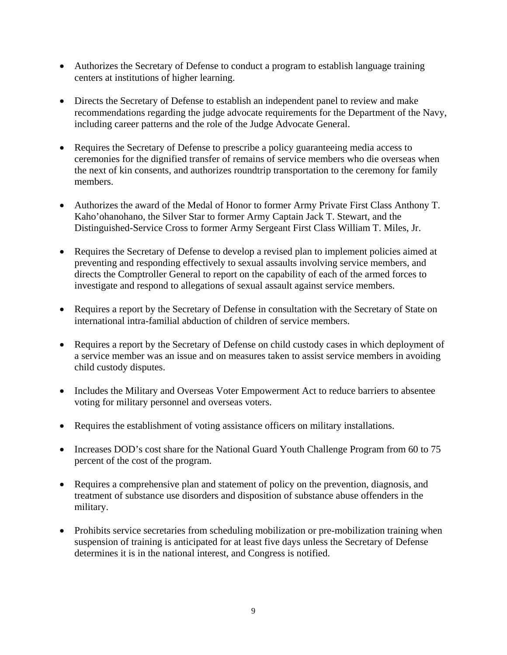- Authorizes the Secretary of Defense to conduct a program to establish language training centers at institutions of higher learning.
- Directs the Secretary of Defense to establish an independent panel to review and make recommendations regarding the judge advocate requirements for the Department of the Navy, including career patterns and the role of the Judge Advocate General.
- Requires the Secretary of Defense to prescribe a policy guaranteeing media access to ceremonies for the dignified transfer of remains of service members who die overseas when the next of kin consents, and authorizes roundtrip transportation to the ceremony for family members.
- Authorizes the award of the Medal of Honor to former Army Private First Class Anthony T. Kaho'ohanohano, the Silver Star to former Army Captain Jack T. Stewart, and the Distinguished-Service Cross to former Army Sergeant First Class William T. Miles, Jr.
- Requires the Secretary of Defense to develop a revised plan to implement policies aimed at preventing and responding effectively to sexual assaults involving service members, and directs the Comptroller General to report on the capability of each of the armed forces to investigate and respond to allegations of sexual assault against service members.
- Requires a report by the Secretary of Defense in consultation with the Secretary of State on international intra-familial abduction of children of service members.
- Requires a report by the Secretary of Defense on child custody cases in which deployment of a service member was an issue and on measures taken to assist service members in avoiding child custody disputes.
- Includes the Military and Overseas Voter Empowerment Act to reduce barriers to absentee voting for military personnel and overseas voters.
- Requires the establishment of voting assistance officers on military installations.
- Increases DOD's cost share for the National Guard Youth Challenge Program from 60 to 75 percent of the cost of the program.
- Requires a comprehensive plan and statement of policy on the prevention, diagnosis, and treatment of substance use disorders and disposition of substance abuse offenders in the military.
- Prohibits service secretaries from scheduling mobilization or pre-mobilization training when suspension of training is anticipated for at least five days unless the Secretary of Defense determines it is in the national interest, and Congress is notified.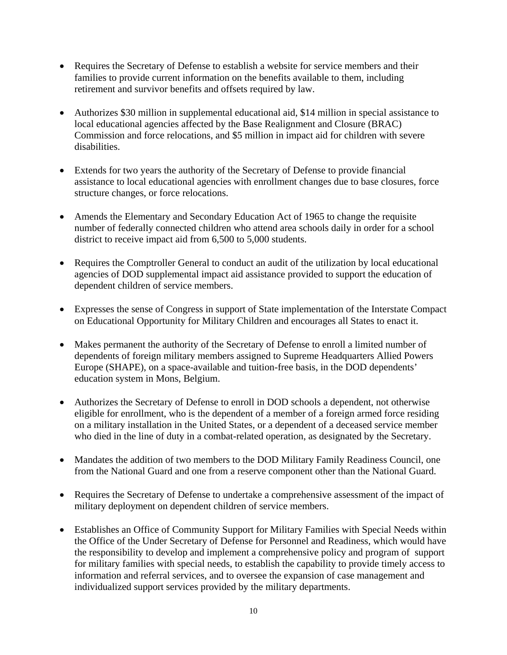- Requires the Secretary of Defense to establish a website for service members and their families to provide current information on the benefits available to them, including retirement and survivor benefits and offsets required by law.
- Authorizes \$30 million in supplemental educational aid, \$14 million in special assistance to local educational agencies affected by the Base Realignment and Closure (BRAC) Commission and force relocations, and \$5 million in impact aid for children with severe disabilities.
- Extends for two years the authority of the Secretary of Defense to provide financial assistance to local educational agencies with enrollment changes due to base closures, force structure changes, or force relocations.
- Amends the Elementary and Secondary Education Act of 1965 to change the requisite number of federally connected children who attend area schools daily in order for a school district to receive impact aid from 6,500 to 5,000 students.
- Requires the Comptroller General to conduct an audit of the utilization by local educational agencies of DOD supplemental impact aid assistance provided to support the education of dependent children of service members.
- Expresses the sense of Congress in support of State implementation of the Interstate Compact on Educational Opportunity for Military Children and encourages all States to enact it.
- Makes permanent the authority of the Secretary of Defense to enroll a limited number of dependents of foreign military members assigned to Supreme Headquarters Allied Powers Europe (SHAPE), on a space-available and tuition-free basis, in the DOD dependents' education system in Mons, Belgium.
- Authorizes the Secretary of Defense to enroll in DOD schools a dependent, not otherwise eligible for enrollment, who is the dependent of a member of a foreign armed force residing on a military installation in the United States, or a dependent of a deceased service member who died in the line of duty in a combat-related operation, as designated by the Secretary.
- Mandates the addition of two members to the DOD Military Family Readiness Council, one from the National Guard and one from a reserve component other than the National Guard.
- Requires the Secretary of Defense to undertake a comprehensive assessment of the impact of military deployment on dependent children of service members.
- Establishes an Office of Community Support for Military Families with Special Needs within the Office of the Under Secretary of Defense for Personnel and Readiness, which would have the responsibility to develop and implement a comprehensive policy and program of support for military families with special needs, to establish the capability to provide timely access to information and referral services, and to oversee the expansion of case management and individualized support services provided by the military departments.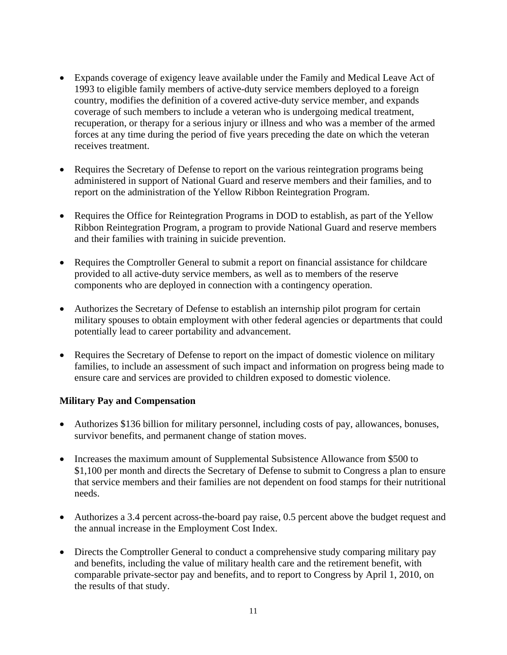- Expands coverage of exigency leave available under the Family and Medical Leave Act of 1993 to eligible family members of active-duty service members deployed to a foreign country, modifies the definition of a covered active-duty service member, and expands coverage of such members to include a veteran who is undergoing medical treatment, recuperation, or therapy for a serious injury or illness and who was a member of the armed forces at any time during the period of five years preceding the date on which the veteran receives treatment.
- Requires the Secretary of Defense to report on the various reintegration programs being administered in support of National Guard and reserve members and their families, and to report on the administration of the Yellow Ribbon Reintegration Program.
- Requires the Office for Reintegration Programs in DOD to establish, as part of the Yellow Ribbon Reintegration Program, a program to provide National Guard and reserve members and their families with training in suicide prevention.
- Requires the Comptroller General to submit a report on financial assistance for childcare provided to all active-duty service members, as well as to members of the reserve components who are deployed in connection with a contingency operation.
- Authorizes the Secretary of Defense to establish an internship pilot program for certain military spouses to obtain employment with other federal agencies or departments that could potentially lead to career portability and advancement.
- Requires the Secretary of Defense to report on the impact of domestic violence on military families, to include an assessment of such impact and information on progress being made to ensure care and services are provided to children exposed to domestic violence.

## **Military Pay and Compensation**

- Authorizes \$136 billion for military personnel, including costs of pay, allowances, bonuses, survivor benefits, and permanent change of station moves.
- Increases the maximum amount of Supplemental Subsistence Allowance from \$500 to \$1,100 per month and directs the Secretary of Defense to submit to Congress a plan to ensure that service members and their families are not dependent on food stamps for their nutritional needs.
- Authorizes a 3.4 percent across-the-board pay raise, 0.5 percent above the budget request and the annual increase in the Employment Cost Index.
- Directs the Comptroller General to conduct a comprehensive study comparing military pay and benefits, including the value of military health care and the retirement benefit, with comparable private-sector pay and benefits, and to report to Congress by April 1, 2010, on the results of that study.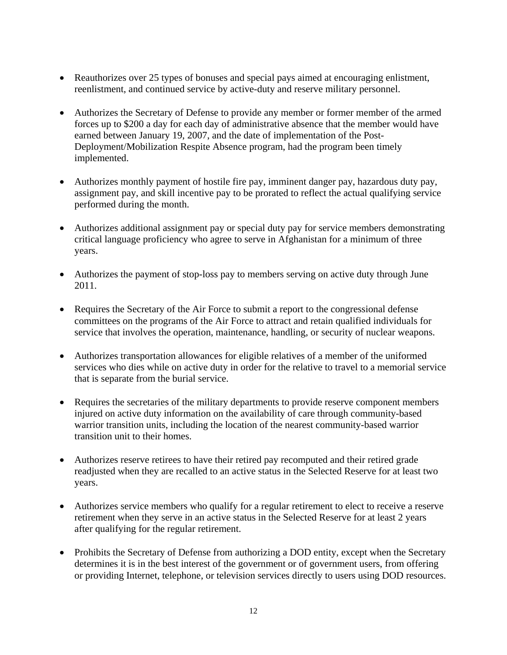- Reauthorizes over 25 types of bonuses and special pays aimed at encouraging enlistment, reenlistment, and continued service by active-duty and reserve military personnel.
- Authorizes the Secretary of Defense to provide any member or former member of the armed forces up to \$200 a day for each day of administrative absence that the member would have earned between January 19, 2007, and the date of implementation of the Post-Deployment/Mobilization Respite Absence program, had the program been timely implemented.
- Authorizes monthly payment of hostile fire pay, imminent danger pay, hazardous duty pay, assignment pay, and skill incentive pay to be prorated to reflect the actual qualifying service performed during the month.
- Authorizes additional assignment pay or special duty pay for service members demonstrating critical language proficiency who agree to serve in Afghanistan for a minimum of three years.
- Authorizes the payment of stop-loss pay to members serving on active duty through June 2011.
- Requires the Secretary of the Air Force to submit a report to the congressional defense committees on the programs of the Air Force to attract and retain qualified individuals for service that involves the operation, maintenance, handling, or security of nuclear weapons.
- Authorizes transportation allowances for eligible relatives of a member of the uniformed services who dies while on active duty in order for the relative to travel to a memorial service that is separate from the burial service.
- Requires the secretaries of the military departments to provide reserve component members injured on active duty information on the availability of care through community-based warrior transition units, including the location of the nearest community-based warrior transition unit to their homes.
- Authorizes reserve retirees to have their retired pay recomputed and their retired grade readjusted when they are recalled to an active status in the Selected Reserve for at least two years.
- Authorizes service members who qualify for a regular retirement to elect to receive a reserve retirement when they serve in an active status in the Selected Reserve for at least 2 years after qualifying for the regular retirement.
- Prohibits the Secretary of Defense from authorizing a DOD entity, except when the Secretary determines it is in the best interest of the government or of government users, from offering or providing Internet, telephone, or television services directly to users using DOD resources.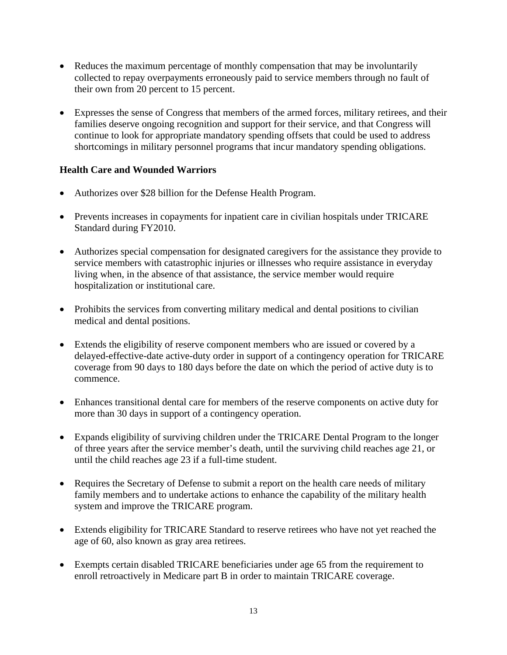- Reduces the maximum percentage of monthly compensation that may be involuntarily collected to repay overpayments erroneously paid to service members through no fault of their own from 20 percent to 15 percent.
- Expresses the sense of Congress that members of the armed forces, military retirees, and their families deserve ongoing recognition and support for their service, and that Congress will continue to look for appropriate mandatory spending offsets that could be used to address shortcomings in military personnel programs that incur mandatory spending obligations.

## **Health Care and Wounded Warriors**

- Authorizes over \$28 billion for the Defense Health Program.
- Prevents increases in copayments for inpatient care in civilian hospitals under TRICARE Standard during FY2010.
- Authorizes special compensation for designated caregivers for the assistance they provide to service members with catastrophic injuries or illnesses who require assistance in everyday living when, in the absence of that assistance, the service member would require hospitalization or institutional care.
- Prohibits the services from converting military medical and dental positions to civilian medical and dental positions.
- Extends the eligibility of reserve component members who are issued or covered by a delayed-effective-date active-duty order in support of a contingency operation for TRICARE coverage from 90 days to 180 days before the date on which the period of active duty is to commence.
- Enhances transitional dental care for members of the reserve components on active duty for more than 30 days in support of a contingency operation.
- Expands eligibility of surviving children under the TRICARE Dental Program to the longer of three years after the service member's death, until the surviving child reaches age 21, or until the child reaches age 23 if a full-time student.
- Requires the Secretary of Defense to submit a report on the health care needs of military family members and to undertake actions to enhance the capability of the military health system and improve the TRICARE program.
- Extends eligibility for TRICARE Standard to reserve retirees who have not yet reached the age of 60, also known as gray area retirees.
- Exempts certain disabled TRICARE beneficiaries under age 65 from the requirement to enroll retroactively in Medicare part B in order to maintain TRICARE coverage.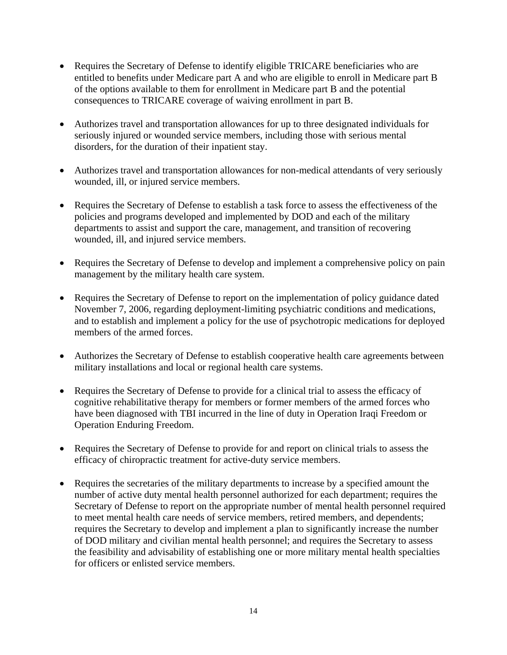- Requires the Secretary of Defense to identify eligible TRICARE beneficiaries who are entitled to benefits under Medicare part A and who are eligible to enroll in Medicare part B of the options available to them for enrollment in Medicare part B and the potential consequences to TRICARE coverage of waiving enrollment in part B.
- Authorizes travel and transportation allowances for up to three designated individuals for seriously injured or wounded service members, including those with serious mental disorders, for the duration of their inpatient stay.
- Authorizes travel and transportation allowances for non-medical attendants of very seriously wounded, ill, or injured service members.
- Requires the Secretary of Defense to establish a task force to assess the effectiveness of the policies and programs developed and implemented by DOD and each of the military departments to assist and support the care, management, and transition of recovering wounded, ill, and injured service members.
- Requires the Secretary of Defense to develop and implement a comprehensive policy on pain management by the military health care system.
- Requires the Secretary of Defense to report on the implementation of policy guidance dated November 7, 2006, regarding deployment-limiting psychiatric conditions and medications, and to establish and implement a policy for the use of psychotropic medications for deployed members of the armed forces.
- Authorizes the Secretary of Defense to establish cooperative health care agreements between military installations and local or regional health care systems.
- Requires the Secretary of Defense to provide for a clinical trial to assess the efficacy of cognitive rehabilitative therapy for members or former members of the armed forces who have been diagnosed with TBI incurred in the line of duty in Operation Iraqi Freedom or Operation Enduring Freedom.
- Requires the Secretary of Defense to provide for and report on clinical trials to assess the efficacy of chiropractic treatment for active-duty service members.
- Requires the secretaries of the military departments to increase by a specified amount the number of active duty mental health personnel authorized for each department; requires the Secretary of Defense to report on the appropriate number of mental health personnel required to meet mental health care needs of service members, retired members, and dependents; requires the Secretary to develop and implement a plan to significantly increase the number of DOD military and civilian mental health personnel; and requires the Secretary to assess the feasibility and advisability of establishing one or more military mental health specialties for officers or enlisted service members.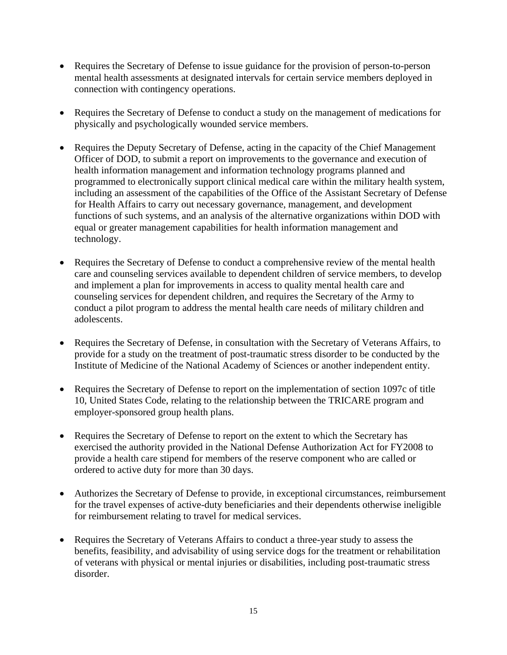- Requires the Secretary of Defense to issue guidance for the provision of person-to-person mental health assessments at designated intervals for certain service members deployed in connection with contingency operations.
- Requires the Secretary of Defense to conduct a study on the management of medications for physically and psychologically wounded service members.
- Requires the Deputy Secretary of Defense, acting in the capacity of the Chief Management Officer of DOD, to submit a report on improvements to the governance and execution of health information management and information technology programs planned and programmed to electronically support clinical medical care within the military health system, including an assessment of the capabilities of the Office of the Assistant Secretary of Defense for Health Affairs to carry out necessary governance, management, and development functions of such systems, and an analysis of the alternative organizations within DOD with equal or greater management capabilities for health information management and technology.
- Requires the Secretary of Defense to conduct a comprehensive review of the mental health care and counseling services available to dependent children of service members, to develop and implement a plan for improvements in access to quality mental health care and counseling services for dependent children, and requires the Secretary of the Army to conduct a pilot program to address the mental health care needs of military children and adolescents.
- Requires the Secretary of Defense, in consultation with the Secretary of Veterans Affairs, to provide for a study on the treatment of post-traumatic stress disorder to be conducted by the Institute of Medicine of the National Academy of Sciences or another independent entity.
- Requires the Secretary of Defense to report on the implementation of section 1097c of title 10, United States Code, relating to the relationship between the TRICARE program and employer-sponsored group health plans.
- Requires the Secretary of Defense to report on the extent to which the Secretary has exercised the authority provided in the National Defense Authorization Act for FY2008 to provide a health care stipend for members of the reserve component who are called or ordered to active duty for more than 30 days.
- Authorizes the Secretary of Defense to provide, in exceptional circumstances, reimbursement for the travel expenses of active-duty beneficiaries and their dependents otherwise ineligible for reimbursement relating to travel for medical services.
- Requires the Secretary of Veterans Affairs to conduct a three-year study to assess the benefits, feasibility, and advisability of using service dogs for the treatment or rehabilitation of veterans with physical or mental injuries or disabilities, including post-traumatic stress disorder.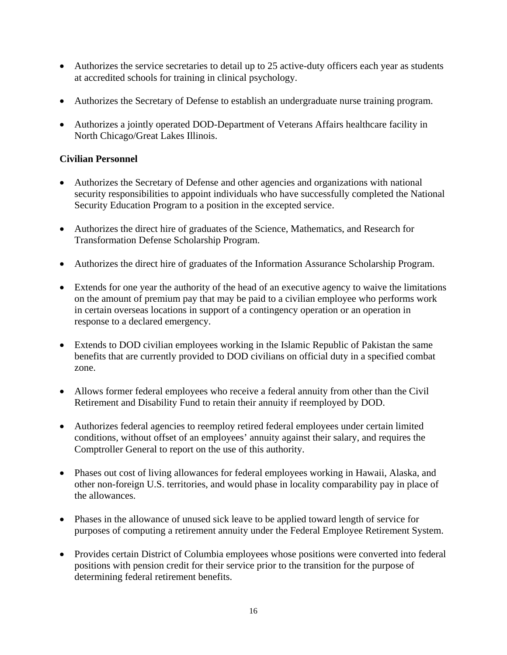- Authorizes the service secretaries to detail up to 25 active-duty officers each year as students at accredited schools for training in clinical psychology.
- Authorizes the Secretary of Defense to establish an undergraduate nurse training program.
- Authorizes a jointly operated DOD-Department of Veterans Affairs healthcare facility in North Chicago/Great Lakes Illinois.

## **Civilian Personnel**

- Authorizes the Secretary of Defense and other agencies and organizations with national security responsibilities to appoint individuals who have successfully completed the National Security Education Program to a position in the excepted service.
- Authorizes the direct hire of graduates of the Science, Mathematics, and Research for Transformation Defense Scholarship Program.
- Authorizes the direct hire of graduates of the Information Assurance Scholarship Program.
- Extends for one year the authority of the head of an executive agency to waive the limitations on the amount of premium pay that may be paid to a civilian employee who performs work in certain overseas locations in support of a contingency operation or an operation in response to a declared emergency.
- Extends to DOD civilian employees working in the Islamic Republic of Pakistan the same benefits that are currently provided to DOD civilians on official duty in a specified combat zone.
- Allows former federal employees who receive a federal annuity from other than the Civil Retirement and Disability Fund to retain their annuity if reemployed by DOD.
- Authorizes federal agencies to reemploy retired federal employees under certain limited conditions, without offset of an employees' annuity against their salary, and requires the Comptroller General to report on the use of this authority.
- Phases out cost of living allowances for federal employees working in Hawaii, Alaska, and other non-foreign U.S. territories, and would phase in locality comparability pay in place of the allowances.
- Phases in the allowance of unused sick leave to be applied toward length of service for purposes of computing a retirement annuity under the Federal Employee Retirement System.
- Provides certain District of Columbia employees whose positions were converted into federal positions with pension credit for their service prior to the transition for the purpose of determining federal retirement benefits.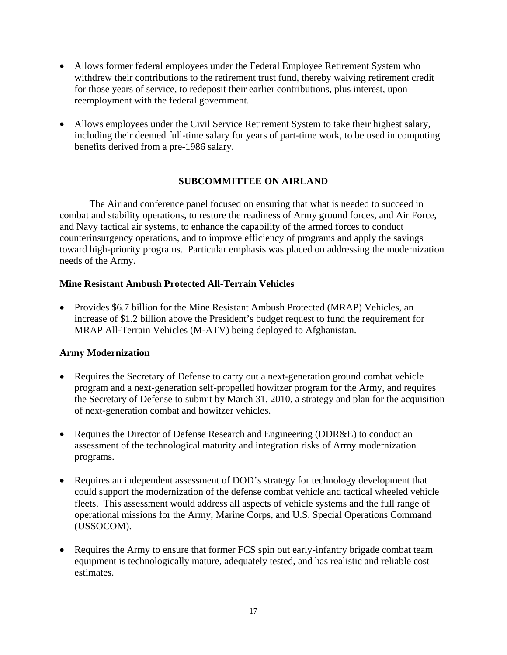- Allows former federal employees under the Federal Employee Retirement System who withdrew their contributions to the retirement trust fund, thereby waiving retirement credit for those years of service, to redeposit their earlier contributions, plus interest, upon reemployment with the federal government.
- Allows employees under the Civil Service Retirement System to take their highest salary, including their deemed full-time salary for years of part-time work, to be used in computing benefits derived from a pre-1986 salary.

## **SUBCOMMITTEE ON AIRLAND**

The Airland conference panel focused on ensuring that what is needed to succeed in combat and stability operations, to restore the readiness of Army ground forces, and Air Force, and Navy tactical air systems, to enhance the capability of the armed forces to conduct counterinsurgency operations, and to improve efficiency of programs and apply the savings toward high-priority programs. Particular emphasis was placed on addressing the modernization needs of the Army.

## **Mine Resistant Ambush Protected All-Terrain Vehicles**

• Provides \$6.7 billion for the Mine Resistant Ambush Protected (MRAP) Vehicles, an increase of \$1.2 billion above the President's budget request to fund the requirement for MRAP All-Terrain Vehicles (M-ATV) being deployed to Afghanistan.

## **Army Modernization**

- Requires the Secretary of Defense to carry out a next-generation ground combat vehicle program and a next-generation self-propelled howitzer program for the Army, and requires the Secretary of Defense to submit by March 31, 2010, a strategy and plan for the acquisition of next-generation combat and howitzer vehicles.
- Requires the Director of Defense Research and Engineering (DDR&E) to conduct an assessment of the technological maturity and integration risks of Army modernization programs.
- Requires an independent assessment of DOD's strategy for technology development that could support the modernization of the defense combat vehicle and tactical wheeled vehicle fleets. This assessment would address all aspects of vehicle systems and the full range of operational missions for the Army, Marine Corps, and U.S. Special Operations Command (USSOCOM).
- Requires the Army to ensure that former FCS spin out early-infantry brigade combat team equipment is technologically mature, adequately tested, and has realistic and reliable cost estimates.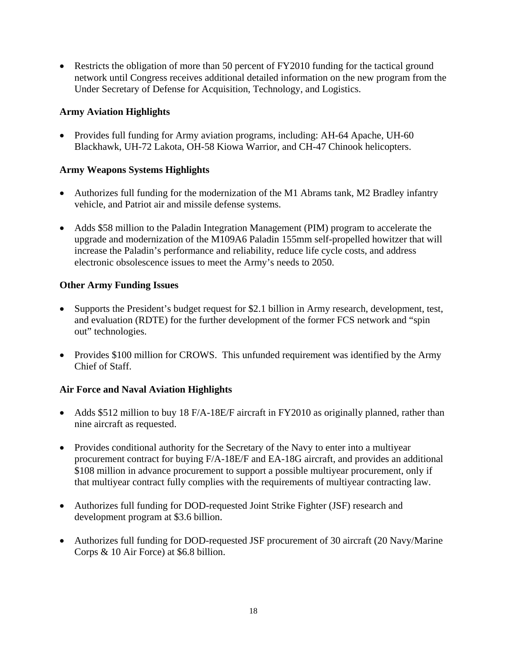• Restricts the obligation of more than 50 percent of FY2010 funding for the tactical ground network until Congress receives additional detailed information on the new program from the Under Secretary of Defense for Acquisition, Technology, and Logistics.

## **Army Aviation Highlights**

• Provides full funding for Army aviation programs, including: AH-64 Apache, UH-60 Blackhawk, UH-72 Lakota, OH-58 Kiowa Warrior, and CH-47 Chinook helicopters.

## **Army Weapons Systems Highlights**

- Authorizes full funding for the modernization of the M1 Abrams tank, M2 Bradley infantry vehicle, and Patriot air and missile defense systems.
- Adds \$58 million to the Paladin Integration Management (PIM) program to accelerate the upgrade and modernization of the M109A6 Paladin 155mm self-propelled howitzer that will increase the Paladin's performance and reliability, reduce life cycle costs, and address electronic obsolescence issues to meet the Army's needs to 2050.

## **Other Army Funding Issues**

- Supports the President's budget request for \$2.1 billion in Army research, development, test, and evaluation (RDTE) for the further development of the former FCS network and "spin out" technologies.
- Provides \$100 million for CROWS. This unfunded requirement was identified by the Army Chief of Staff.

# **Air Force and Naval Aviation Highlights**

- Adds \$512 million to buy 18 F/A-18E/F aircraft in FY2010 as originally planned, rather than nine aircraft as requested.
- Provides conditional authority for the Secretary of the Navy to enter into a multiyear procurement contract for buying F/A-18E/F and EA-18G aircraft, and provides an additional \$108 million in advance procurement to support a possible multiyear procurement, only if that multiyear contract fully complies with the requirements of multiyear contracting law.
- Authorizes full funding for DOD-requested Joint Strike Fighter (JSF) research and development program at \$3.6 billion.
- Authorizes full funding for DOD-requested JSF procurement of 30 aircraft (20 Navy/Marine) Corps & 10 Air Force) at \$6.8 billion.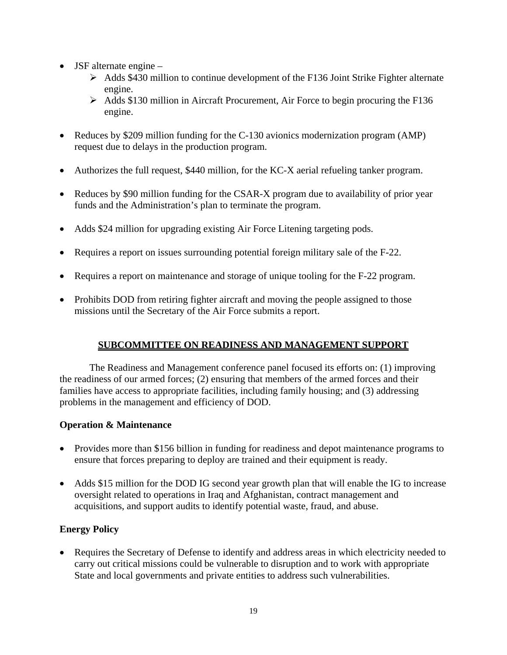- JSF alternate engine
	- $\triangleright$  Adds \$430 million to continue development of the F136 Joint Strike Fighter alternate engine.
	- ¾ Adds \$130 million in Aircraft Procurement, Air Force to begin procuring the F136 engine.
- Reduces by \$209 million funding for the C-130 avionics modernization program (AMP) request due to delays in the production program.
- Authorizes the full request, \$440 million, for the KC-X aerial refueling tanker program.
- Reduces by \$90 million funding for the CSAR-X program due to availability of prior year funds and the Administration's plan to terminate the program.
- Adds \$24 million for upgrading existing Air Force Litening targeting pods.
- Requires a report on issues surrounding potential foreign military sale of the F-22.
- Requires a report on maintenance and storage of unique tooling for the F-22 program.
- Prohibits DOD from retiring fighter aircraft and moving the people assigned to those missions until the Secretary of the Air Force submits a report.

# **SUBCOMMITTEE ON READINESS AND MANAGEMENT SUPPORT**

The Readiness and Management conference panel focused its efforts on: (1) improving the readiness of our armed forces; (2) ensuring that members of the armed forces and their families have access to appropriate facilities, including family housing; and (3) addressing problems in the management and efficiency of DOD.

## **Operation & Maintenance**

- Provides more than \$156 billion in funding for readiness and depot maintenance programs to ensure that forces preparing to deploy are trained and their equipment is ready.
- Adds \$15 million for the DOD IG second year growth plan that will enable the IG to increase oversight related to operations in Iraq and Afghanistan, contract management and acquisitions, and support audits to identify potential waste, fraud, and abuse.

# **Energy Policy**

• Requires the Secretary of Defense to identify and address areas in which electricity needed to carry out critical missions could be vulnerable to disruption and to work with appropriate State and local governments and private entities to address such vulnerabilities.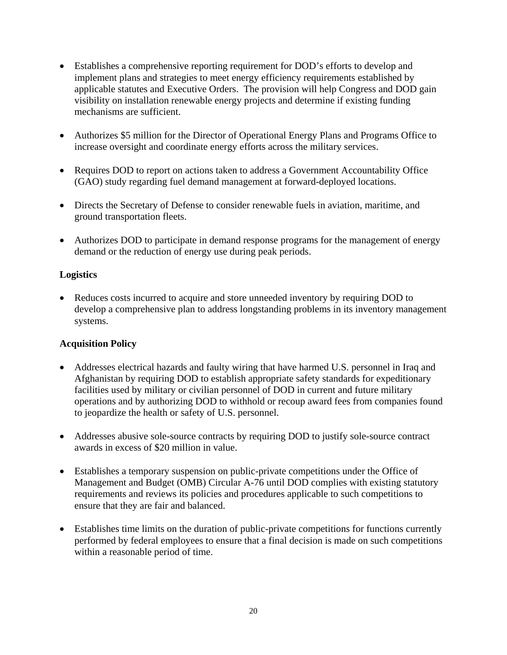- Establishes a comprehensive reporting requirement for DOD's efforts to develop and implement plans and strategies to meet energy efficiency requirements established by applicable statutes and Executive Orders. The provision will help Congress and DOD gain visibility on installation renewable energy projects and determine if existing funding mechanisms are sufficient.
- Authorizes \$5 million for the Director of Operational Energy Plans and Programs Office to increase oversight and coordinate energy efforts across the military services.
- Requires DOD to report on actions taken to address a Government Accountability Office (GAO) study regarding fuel demand management at forward-deployed locations.
- Directs the Secretary of Defense to consider renewable fuels in aviation, maritime, and ground transportation fleets.
- Authorizes DOD to participate in demand response programs for the management of energy demand or the reduction of energy use during peak periods.

## **Logistics**

• Reduces costs incurred to acquire and store unneeded inventory by requiring DOD to develop a comprehensive plan to address longstanding problems in its inventory management systems.

# **Acquisition Policy**

- Addresses electrical hazards and faulty wiring that have harmed U.S. personnel in Iraq and Afghanistan by requiring DOD to establish appropriate safety standards for expeditionary facilities used by military or civilian personnel of DOD in current and future military operations and by authorizing DOD to withhold or recoup award fees from companies found to jeopardize the health or safety of U.S. personnel.
- Addresses abusive sole-source contracts by requiring DOD to justify sole-source contract awards in excess of \$20 million in value.
- Establishes a temporary suspension on public-private competitions under the Office of Management and Budget (OMB) Circular A-76 until DOD complies with existing statutory requirements and reviews its policies and procedures applicable to such competitions to ensure that they are fair and balanced.
- Establishes time limits on the duration of public-private competitions for functions currently performed by federal employees to ensure that a final decision is made on such competitions within a reasonable period of time.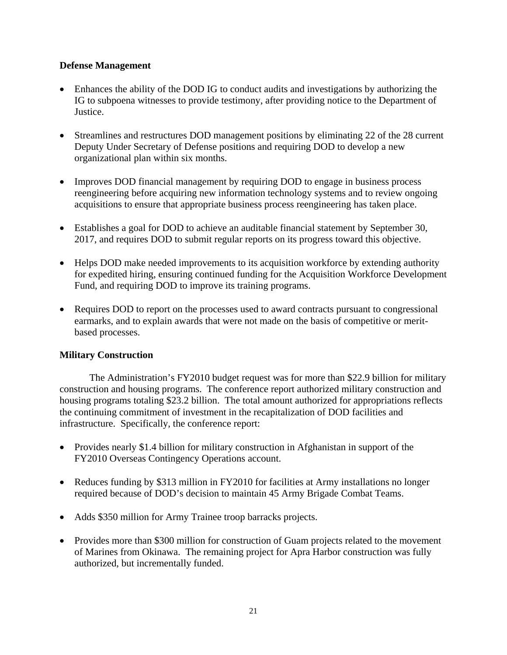## **Defense Management**

- Enhances the ability of the DOD IG to conduct audits and investigations by authorizing the IG to subpoena witnesses to provide testimony, after providing notice to the Department of Justice.
- Streamlines and restructures DOD management positions by eliminating 22 of the 28 current Deputy Under Secretary of Defense positions and requiring DOD to develop a new organizational plan within six months.
- Improves DOD financial management by requiring DOD to engage in business process reengineering before acquiring new information technology systems and to review ongoing acquisitions to ensure that appropriate business process reengineering has taken place.
- Establishes a goal for DOD to achieve an auditable financial statement by September 30, 2017, and requires DOD to submit regular reports on its progress toward this objective.
- Helps DOD make needed improvements to its acquisition workforce by extending authority for expedited hiring, ensuring continued funding for the Acquisition Workforce Development Fund, and requiring DOD to improve its training programs.
- Requires DOD to report on the processes used to award contracts pursuant to congressional earmarks, and to explain awards that were not made on the basis of competitive or meritbased processes.

## **Military Construction**

The Administration's FY2010 budget request was for more than \$22.9 billion for military construction and housing programs. The conference report authorized military construction and housing programs totaling \$23.2 billion. The total amount authorized for appropriations reflects the continuing commitment of investment in the recapitalization of DOD facilities and infrastructure. Specifically, the conference report:

- Provides nearly \$1.4 billion for military construction in Afghanistan in support of the FY2010 Overseas Contingency Operations account.
- Reduces funding by \$313 million in FY2010 for facilities at Army installations no longer required because of DOD's decision to maintain 45 Army Brigade Combat Teams.
- Adds \$350 million for Army Trainee troop barracks projects.
- Provides more than \$300 million for construction of Guam projects related to the movement of Marines from Okinawa. The remaining project for Apra Harbor construction was fully authorized, but incrementally funded.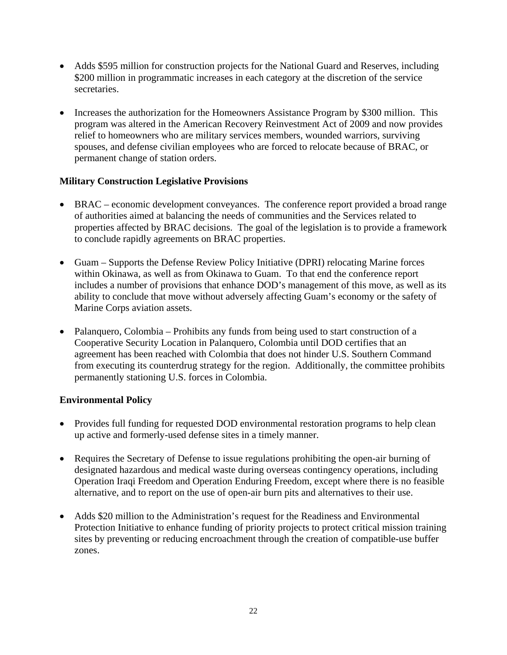- Adds \$595 million for construction projects for the National Guard and Reserves, including \$200 million in programmatic increases in each category at the discretion of the service secretaries.
- Increases the authorization for the Homeowners Assistance Program by \$300 million. This program was altered in the American Recovery Reinvestment Act of 2009 and now provides relief to homeowners who are military services members, wounded warriors, surviving spouses, and defense civilian employees who are forced to relocate because of BRAC, or permanent change of station orders.

## **Military Construction Legislative Provisions**

- BRAC economic development conveyances. The conference report provided a broad range of authorities aimed at balancing the needs of communities and the Services related to properties affected by BRAC decisions. The goal of the legislation is to provide a framework to conclude rapidly agreements on BRAC properties.
- Guam Supports the Defense Review Policy Initiative (DPRI) relocating Marine forces within Okinawa, as well as from Okinawa to Guam. To that end the conference report includes a number of provisions that enhance DOD's management of this move, as well as its ability to conclude that move without adversely affecting Guam's economy or the safety of Marine Corps aviation assets.
- Palanquero, Colombia Prohibits any funds from being used to start construction of a Cooperative Security Location in Palanquero, Colombia until DOD certifies that an agreement has been reached with Colombia that does not hinder U.S. Southern Command from executing its counterdrug strategy for the region. Additionally, the committee prohibits permanently stationing U.S. forces in Colombia.

## **Environmental Policy**

- Provides full funding for requested DOD environmental restoration programs to help clean up active and formerly-used defense sites in a timely manner.
- Requires the Secretary of Defense to issue regulations prohibiting the open-air burning of designated hazardous and medical waste during overseas contingency operations, including Operation Iraqi Freedom and Operation Enduring Freedom, except where there is no feasible alternative, and to report on the use of open-air burn pits and alternatives to their use.
- Adds \$20 million to the Administration's request for the Readiness and Environmental Protection Initiative to enhance funding of priority projects to protect critical mission training sites by preventing or reducing encroachment through the creation of compatible-use buffer zones.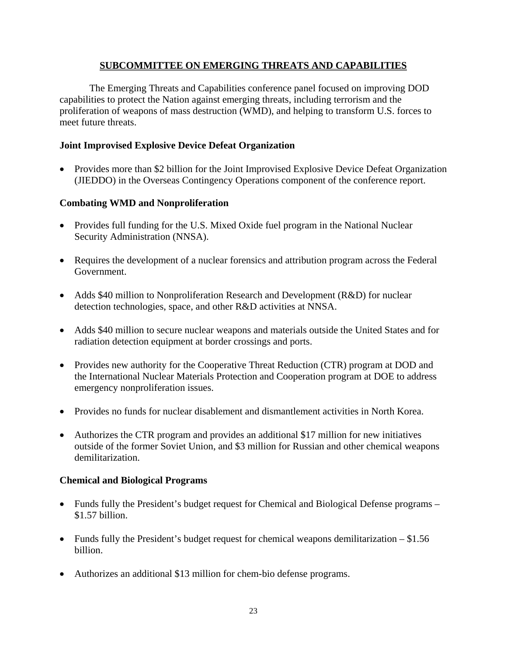## **SUBCOMMITTEE ON EMERGING THREATS AND CAPABILITIES**

The Emerging Threats and Capabilities conference panel focused on improving DOD capabilities to protect the Nation against emerging threats, including terrorism and the proliferation of weapons of mass destruction (WMD), and helping to transform U.S. forces to meet future threats.

#### **Joint Improvised Explosive Device Defeat Organization**

• Provides more than \$2 billion for the Joint Improvised Explosive Device Defeat Organization (JIEDDO) in the Overseas Contingency Operations component of the conference report.

## **Combating WMD and Nonproliferation**

- Provides full funding for the U.S. Mixed Oxide fuel program in the National Nuclear Security Administration (NNSA).
- Requires the development of a nuclear forensics and attribution program across the Federal Government.
- Adds \$40 million to Nonproliferation Research and Development (R&D) for nuclear detection technologies, space, and other R&D activities at NNSA.
- Adds \$40 million to secure nuclear weapons and materials outside the United States and for radiation detection equipment at border crossings and ports.
- Provides new authority for the Cooperative Threat Reduction (CTR) program at DOD and the International Nuclear Materials Protection and Cooperation program at DOE to address emergency nonproliferation issues.
- Provides no funds for nuclear disablement and dismantlement activities in North Korea.
- Authorizes the CTR program and provides an additional \$17 million for new initiatives outside of the former Soviet Union, and \$3 million for Russian and other chemical weapons demilitarization.

#### **Chemical and Biological Programs**

- Funds fully the President's budget request for Chemical and Biological Defense programs \$1.57 billion.
- Funds fully the President's budget request for chemical weapons demilitarization \$1.56 billion.
- Authorizes an additional \$13 million for chem-bio defense programs.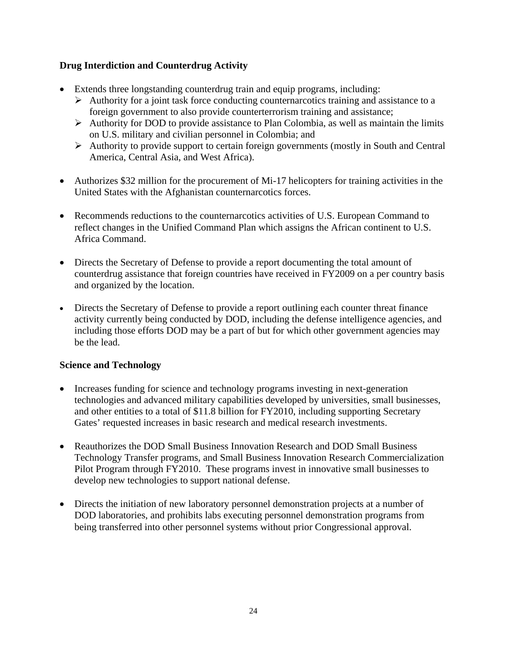## **Drug Interdiction and Counterdrug Activity**

- Extends three longstanding counterdrug train and equip programs, including:
	- $\triangleright$  Authority for a joint task force conducting counternarcotics training and assistance to a foreign government to also provide counterterrorism training and assistance;
	- $\triangleright$  Authority for DOD to provide assistance to Plan Colombia, as well as maintain the limits on U.S. military and civilian personnel in Colombia; and
	- ¾ Authority to provide support to certain foreign governments (mostly in South and Central America, Central Asia, and West Africa).
- Authorizes \$32 million for the procurement of Mi-17 helicopters for training activities in the United States with the Afghanistan counternarcotics forces.
- Recommends reductions to the counternarcotics activities of U.S. European Command to reflect changes in the Unified Command Plan which assigns the African continent to U.S. Africa Command.
- Directs the Secretary of Defense to provide a report documenting the total amount of counterdrug assistance that foreign countries have received in FY2009 on a per country basis and organized by the location.
- Directs the Secretary of Defense to provide a report outlining each counter threat finance activity currently being conducted by DOD, including the defense intelligence agencies, and including those efforts DOD may be a part of but for which other government agencies may be the lead.

## **Science and Technology**

- Increases funding for science and technology programs investing in next-generation technologies and advanced military capabilities developed by universities, small businesses, and other entities to a total of \$11.8 billion for FY2010, including supporting Secretary Gates' requested increases in basic research and medical research investments.
- Reauthorizes the DOD Small Business Innovation Research and DOD Small Business Technology Transfer programs, and Small Business Innovation Research Commercialization Pilot Program through FY2010. These programs invest in innovative small businesses to develop new technologies to support national defense.
- Directs the initiation of new laboratory personnel demonstration projects at a number of DOD laboratories, and prohibits labs executing personnel demonstration programs from being transferred into other personnel systems without prior Congressional approval.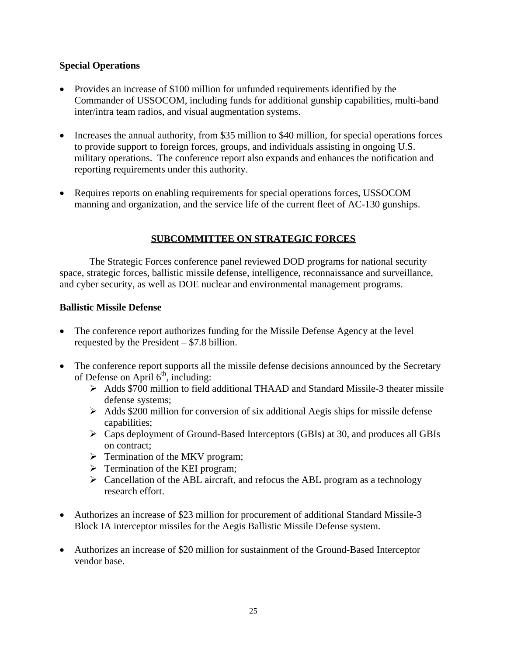## **Special Operations**

- Provides an increase of \$100 million for unfunded requirements identified by the Commander of USSOCOM, including funds for additional gunship capabilities, multi-band inter/intra team radios, and visual augmentation systems.
- Increases the annual authority, from \$35 million to \$40 million, for special operations forces to provide support to foreign forces, groups, and individuals assisting in ongoing U.S. military operations. The conference report also expands and enhances the notification and reporting requirements under this authority.
- Requires reports on enabling requirements for special operations forces, USSOCOM manning and organization, and the service life of the current fleet of AC-130 gunships.

## **SUBCOMMITTEE ON STRATEGIC FORCES**

The Strategic Forces conference panel reviewed DOD programs for national security space, strategic forces, ballistic missile defense, intelligence, reconnaissance and surveillance, and cyber security, as well as DOE nuclear and environmental management programs.

## **Ballistic Missile Defense**

- The conference report authorizes funding for the Missile Defense Agency at the level requested by the President – \$7.8 billion.
- The conference report supports all the missile defense decisions announced by the Secretary of Defense on April  $6<sup>th</sup>$ , including:
	- ¾ Adds \$700 million to field additional THAAD and Standard Missile-3 theater missile defense systems;
	- $\triangleright$  Adds \$200 million for conversion of six additional Aegis ships for missile defense capabilities;
	- ¾ Caps deployment of Ground-Based Interceptors (GBIs) at 30, and produces all GBIs on contract;
	- $\triangleright$  Termination of the MKV program;
	- $\triangleright$  Termination of the KEI program;
	- $\triangleright$  Cancellation of the ABL aircraft, and refocus the ABL program as a technology research effort.
- Authorizes an increase of \$23 million for procurement of additional Standard Missile-3 Block IA interceptor missiles for the Aegis Ballistic Missile Defense system.
- Authorizes an increase of \$20 million for sustainment of the Ground-Based Interceptor vendor base.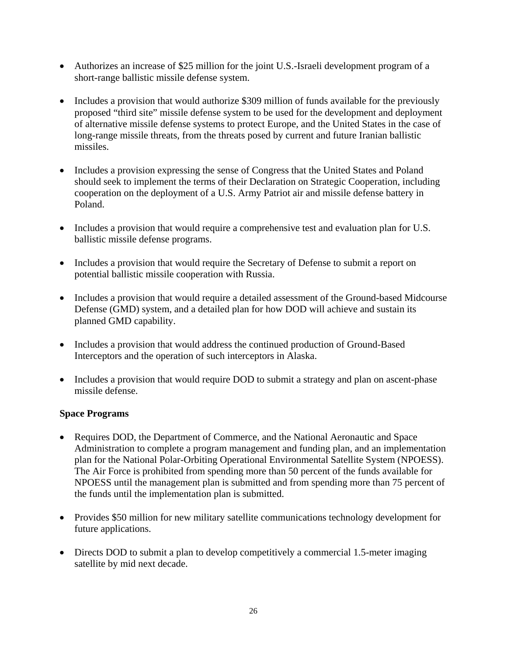- Authorizes an increase of \$25 million for the joint U.S.-Israeli development program of a short-range ballistic missile defense system.
- Includes a provision that would authorize \$309 million of funds available for the previously proposed "third site" missile defense system to be used for the development and deployment of alternative missile defense systems to protect Europe, and the United States in the case of long-range missile threats, from the threats posed by current and future Iranian ballistic missiles.
- Includes a provision expressing the sense of Congress that the United States and Poland should seek to implement the terms of their Declaration on Strategic Cooperation, including cooperation on the deployment of a U.S. Army Patriot air and missile defense battery in Poland.
- Includes a provision that would require a comprehensive test and evaluation plan for U.S. ballistic missile defense programs.
- Includes a provision that would require the Secretary of Defense to submit a report on potential ballistic missile cooperation with Russia.
- Includes a provision that would require a detailed assessment of the Ground-based Midcourse Defense (GMD) system, and a detailed plan for how DOD will achieve and sustain its planned GMD capability.
- Includes a provision that would address the continued production of Ground-Based Interceptors and the operation of such interceptors in Alaska.
- Includes a provision that would require DOD to submit a strategy and plan on ascent-phase missile defense.

## **Space Programs**

- Requires DOD, the Department of Commerce, and the National Aeronautic and Space Administration to complete a program management and funding plan, and an implementation plan for the National Polar-Orbiting Operational Environmental Satellite System (NPOESS). The Air Force is prohibited from spending more than 50 percent of the funds available for NPOESS until the management plan is submitted and from spending more than 75 percent of the funds until the implementation plan is submitted.
- Provides \$50 million for new military satellite communications technology development for future applications.
- Directs DOD to submit a plan to develop competitively a commercial 1.5-meter imaging satellite by mid next decade.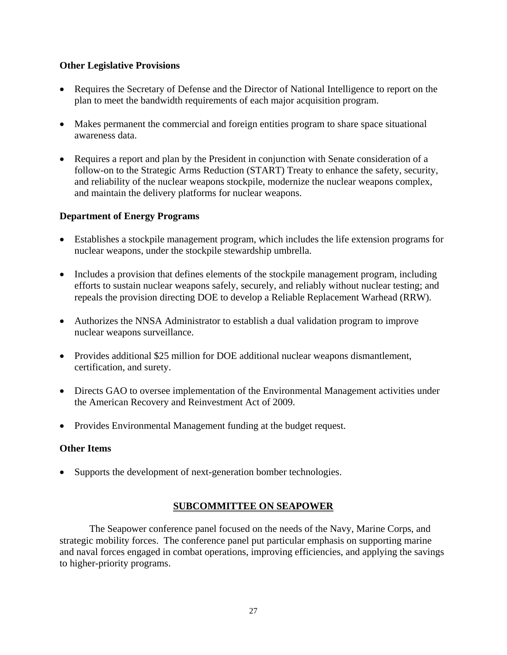## **Other Legislative Provisions**

- Requires the Secretary of Defense and the Director of National Intelligence to report on the plan to meet the bandwidth requirements of each major acquisition program.
- Makes permanent the commercial and foreign entities program to share space situational awareness data.
- Requires a report and plan by the President in conjunction with Senate consideration of a follow-on to the Strategic Arms Reduction (START) Treaty to enhance the safety, security, and reliability of the nuclear weapons stockpile, modernize the nuclear weapons complex, and maintain the delivery platforms for nuclear weapons.

## **Department of Energy Programs**

- Establishes a stockpile management program, which includes the life extension programs for nuclear weapons, under the stockpile stewardship umbrella.
- Includes a provision that defines elements of the stockpile management program, including efforts to sustain nuclear weapons safely, securely, and reliably without nuclear testing; and repeals the provision directing DOE to develop a Reliable Replacement Warhead (RRW).
- Authorizes the NNSA Administrator to establish a dual validation program to improve nuclear weapons surveillance.
- Provides additional \$25 million for DOE additional nuclear weapons dismantlement, certification, and surety.
- Directs GAO to oversee implementation of the Environmental Management activities under the American Recovery and Reinvestment Act of 2009.
- Provides Environmental Management funding at the budget request.

#### **Other Items**

• Supports the development of next-generation bomber technologies.

## **SUBCOMMITTEE ON SEAPOWER**

The Seapower conference panel focused on the needs of the Navy, Marine Corps, and strategic mobility forces. The conference panel put particular emphasis on supporting marine and naval forces engaged in combat operations, improving efficiencies, and applying the savings to higher-priority programs.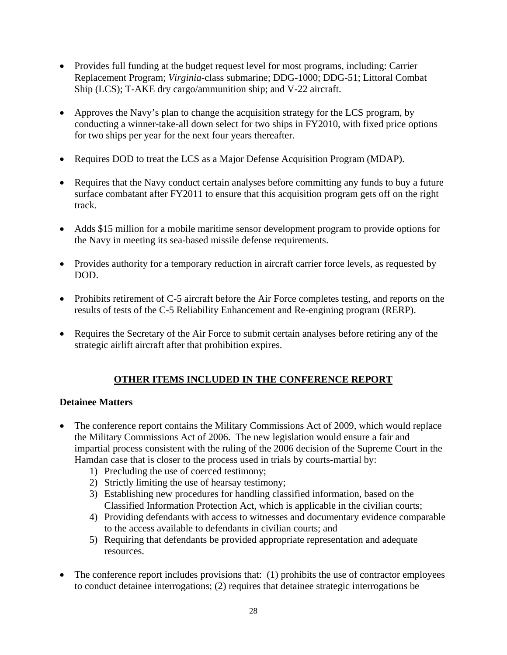- Provides full funding at the budget request level for most programs, including: Carrier Replacement Program; *Virginia*-class submarine; DDG-1000; DDG-51; Littoral Combat Ship (LCS); T-AKE dry cargo/ammunition ship; and V-22 aircraft.
- Approves the Navy's plan to change the acquisition strategy for the LCS program, by conducting a winner-take-all down select for two ships in FY2010, with fixed price options for two ships per year for the next four years thereafter.
- Requires DOD to treat the LCS as a Major Defense Acquisition Program (MDAP).
- Requires that the Navy conduct certain analyses before committing any funds to buy a future surface combatant after FY2011 to ensure that this acquisition program gets off on the right track.
- Adds \$15 million for a mobile maritime sensor development program to provide options for the Navy in meeting its sea-based missile defense requirements.
- Provides authority for a temporary reduction in aircraft carrier force levels, as requested by DOD.
- Prohibits retirement of C-5 aircraft before the Air Force completes testing, and reports on the results of tests of the C-5 Reliability Enhancement and Re-engining program (RERP).
- Requires the Secretary of the Air Force to submit certain analyses before retiring any of the strategic airlift aircraft after that prohibition expires.

# **OTHER ITEMS INCLUDED IN THE CONFERENCE REPORT**

## **Detainee Matters**

- The conference report contains the Military Commissions Act of 2009, which would replace the Military Commissions Act of 2006. The new legislation would ensure a fair and impartial process consistent with the ruling of the 2006 decision of the Supreme Court in the Hamdan case that is closer to the process used in trials by courts-martial by:
	- 1) Precluding the use of coerced testimony;
	- 2) Strictly limiting the use of hearsay testimony;
	- 3) Establishing new procedures for handling classified information, based on the Classified Information Protection Act, which is applicable in the civilian courts;
	- 4) Providing defendants with access to witnesses and documentary evidence comparable to the access available to defendants in civilian courts; and
	- 5) Requiring that defendants be provided appropriate representation and adequate resources.
- The conference report includes provisions that: (1) prohibits the use of contractor employees to conduct detainee interrogations; (2) requires that detainee strategic interrogations be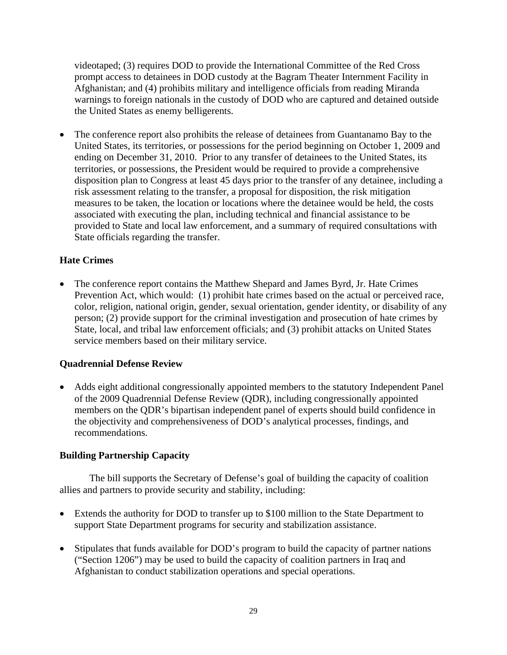videotaped; (3) requires DOD to provide the International Committee of the Red Cross prompt access to detainees in DOD custody at the Bagram Theater Internment Facility in Afghanistan; and (4) prohibits military and intelligence officials from reading Miranda warnings to foreign nationals in the custody of DOD who are captured and detained outside the United States as enemy belligerents.

• The conference report also prohibits the release of detainees from Guantanamo Bay to the United States, its territories, or possessions for the period beginning on October 1, 2009 and ending on December 31, 2010. Prior to any transfer of detainees to the United States, its territories, or possessions, the President would be required to provide a comprehensive disposition plan to Congress at least 45 days prior to the transfer of any detainee, including a risk assessment relating to the transfer, a proposal for disposition, the risk mitigation measures to be taken, the location or locations where the detainee would be held, the costs associated with executing the plan, including technical and financial assistance to be provided to State and local law enforcement, and a summary of required consultations with State officials regarding the transfer.

## **Hate Crimes**

• The conference report contains the Matthew Shepard and James Byrd, Jr. Hate Crimes Prevention Act, which would: (1) prohibit hate crimes based on the actual or perceived race, color, religion, national origin, gender, sexual orientation, gender identity, or disability of any person; (2) provide support for the criminal investigation and prosecution of hate crimes by State, local, and tribal law enforcement officials; and (3) prohibit attacks on United States service members based on their military service.

#### **Quadrennial Defense Review**

• Adds eight additional congressionally appointed members to the statutory Independent Panel of the 2009 Quadrennial Defense Review (QDR), including congressionally appointed members on the QDR's bipartisan independent panel of experts should build confidence in the objectivity and comprehensiveness of DOD's analytical processes, findings, and recommendations.

## **Building Partnership Capacity**

 The bill supports the Secretary of Defense's goal of building the capacity of coalition allies and partners to provide security and stability, including:

- Extends the authority for DOD to transfer up to \$100 million to the State Department to support State Department programs for security and stabilization assistance.
- Stipulates that funds available for DOD's program to build the capacity of partner nations ("Section 1206") may be used to build the capacity of coalition partners in Iraq and Afghanistan to conduct stabilization operations and special operations.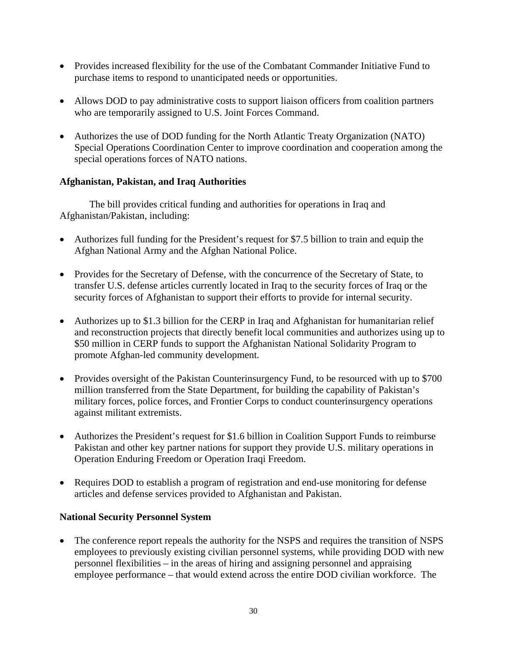- Provides increased flexibility for the use of the Combatant Commander Initiative Fund to purchase items to respond to unanticipated needs or opportunities.
- Allows DOD to pay administrative costs to support liaison officers from coalition partners who are temporarily assigned to U.S. Joint Forces Command.
- Authorizes the use of DOD funding for the North Atlantic Treaty Organization (NATO) Special Operations Coordination Center to improve coordination and cooperation among the special operations forces of NATO nations.

## **Afghanistan, Pakistan, and Iraq Authorities**

 The bill provides critical funding and authorities for operations in Iraq and Afghanistan/Pakistan, including:

- Authorizes full funding for the President's request for \$7.5 billion to train and equip the Afghan National Army and the Afghan National Police.
- Provides for the Secretary of Defense, with the concurrence of the Secretary of State, to transfer U.S. defense articles currently located in Iraq to the security forces of Iraq or the security forces of Afghanistan to support their efforts to provide for internal security.
- Authorizes up to \$1.3 billion for the CERP in Iraq and Afghanistan for humanitarian relief and reconstruction projects that directly benefit local communities and authorizes using up to \$50 million in CERP funds to support the Afghanistan National Solidarity Program to promote Afghan-led community development.
- Provides oversight of the Pakistan Counterinsurgency Fund, to be resourced with up to \$700 million transferred from the State Department, for building the capability of Pakistan's military forces, police forces, and Frontier Corps to conduct counterinsurgency operations against militant extremists.
- Authorizes the President's request for \$1.6 billion in Coalition Support Funds to reimburse Pakistan and other key partner nations for support they provide U.S. military operations in Operation Enduring Freedom or Operation Iraqi Freedom.
- Requires DOD to establish a program of registration and end-use monitoring for defense articles and defense services provided to Afghanistan and Pakistan.

# **National Security Personnel System**

The conference report repeals the authority for the NSPS and requires the transition of NSPS employees to previously existing civilian personnel systems, while providing DOD with new personnel flexibilities – in the areas of hiring and assigning personnel and appraising employee performance – that would extend across the entire DOD civilian workforce. The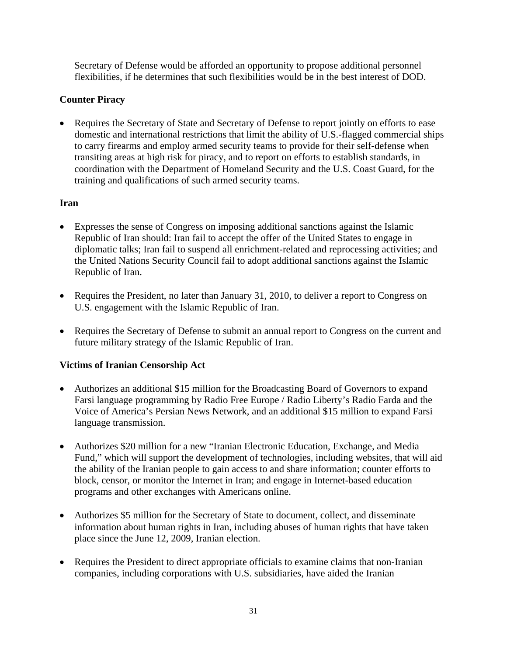Secretary of Defense would be afforded an opportunity to propose additional personnel flexibilities, if he determines that such flexibilities would be in the best interest of DOD.

# **Counter Piracy**

• Requires the Secretary of State and Secretary of Defense to report jointly on efforts to ease domestic and international restrictions that limit the ability of U.S.-flagged commercial ships to carry firearms and employ armed security teams to provide for their self-defense when transiting areas at high risk for piracy, and to report on efforts to establish standards, in coordination with the Department of Homeland Security and the U.S. Coast Guard, for the training and qualifications of such armed security teams.

## **Iran**

- Expresses the sense of Congress on imposing additional sanctions against the Islamic Republic of Iran should: Iran fail to accept the offer of the United States to engage in diplomatic talks; Iran fail to suspend all enrichment-related and reprocessing activities; and the United Nations Security Council fail to adopt additional sanctions against the Islamic Republic of Iran.
- Requires the President, no later than January 31, 2010, to deliver a report to Congress on U.S. engagement with the Islamic Republic of Iran.
- Requires the Secretary of Defense to submit an annual report to Congress on the current and future military strategy of the Islamic Republic of Iran.

# **Victims of Iranian Censorship Act**

- Authorizes an additional \$15 million for the Broadcasting Board of Governors to expand Farsi language programming by Radio Free Europe / Radio Liberty's Radio Farda and the Voice of America's Persian News Network, and an additional \$15 million to expand Farsi language transmission.
- Authorizes \$20 million for a new "Iranian Electronic Education, Exchange, and Media Fund," which will support the development of technologies, including websites, that will aid the ability of the Iranian people to gain access to and share information; counter efforts to block, censor, or monitor the Internet in Iran; and engage in Internet-based education programs and other exchanges with Americans online.
- Authorizes \$5 million for the Secretary of State to document, collect, and disseminate information about human rights in Iran, including abuses of human rights that have taken place since the June 12, 2009, Iranian election.
- Requires the President to direct appropriate officials to examine claims that non-Iranian companies, including corporations with U.S. subsidiaries, have aided the Iranian